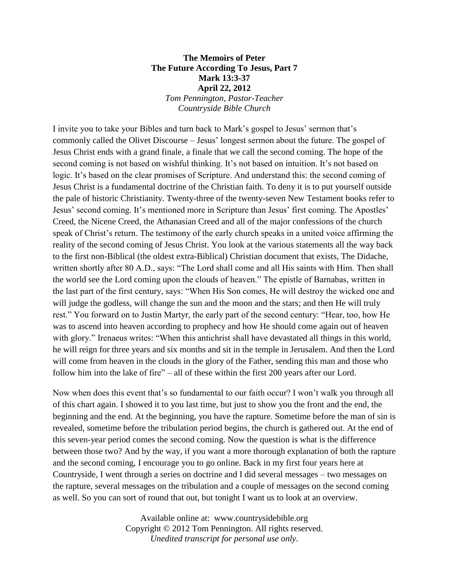## **The Memoirs of Peter The Future According To Jesus, Part 7 Mark 13:3-37 April 22, 2012** *Tom Pennington, Pastor-Teacher Countryside Bible Church*

I invite you to take your Bibles and turn back to Mark's gospel to Jesus' sermon that's commonly called the Olivet Discourse – Jesus' longest sermon about the future. The gospel of Jesus Christ ends with a grand finale, a finale that we call the second coming. The hope of the second coming is not based on wishful thinking. It's not based on intuition. It's not based on logic. It's based on the clear promises of Scripture. And understand this: the second coming of Jesus Christ is a fundamental doctrine of the Christian faith. To deny it is to put yourself outside the pale of historic Christianity. Twenty-three of the twenty-seven New Testament books refer to Jesus' second coming. It's mentioned more in Scripture than Jesus' first coming. The Apostles' Creed, the Nicene Creed, the Athanasian Creed and all of the major confessions of the church speak of Christ's return. The testimony of the early church speaks in a united voice affirming the reality of the second coming of Jesus Christ. You look at the various statements all the way back to the first non-Biblical (the oldest extra-Biblical) Christian document that exists, The Didache, written shortly after 80 A.D., says: "The Lord shall come and all His saints with Him. Then shall the world see the Lord coming upon the clouds of heaven." The epistle of Barnabas, written in the last part of the first century, says: "When His Son comes, He will destroy the wicked one and will judge the godless, will change the sun and the moon and the stars; and then He will truly rest." You forward on to Justin Martyr, the early part of the second century: "Hear, too, how He was to ascend into heaven according to prophecy and how He should come again out of heaven with glory." Irenaeus writes: "When this antichrist shall have devastated all things in this world, he will reign for three years and six months and sit in the temple in Jerusalem. And then the Lord will come from heaven in the clouds in the glory of the Father, sending this man and those who follow him into the lake of fire" – all of these within the first 200 years after our Lord.

Now when does this event that's so fundamental to our faith occur? I won't walk you through all of this chart again. I showed it to you last time, but just to show you the front and the end, the beginning and the end. At the beginning, you have the rapture. Sometime before the man of sin is revealed, sometime before the tribulation period begins, the church is gathered out. At the end of this seven-year period comes the second coming. Now the question is what is the difference between those two? And by the way, if you want a more thorough explanation of both the rapture and the second coming, I encourage you to go online. Back in my first four years here at Countryside, I went through a series on doctrine and I did several messages – two messages on the rapture, several messages on the tribulation and a couple of messages on the second coming as well. So you can sort of round that out, but tonight I want us to look at an overview.

> Available online at: www.countrysidebible.org Copyright © 2012 Tom Pennington. All rights reserved. *Unedited transcript for personal use only.*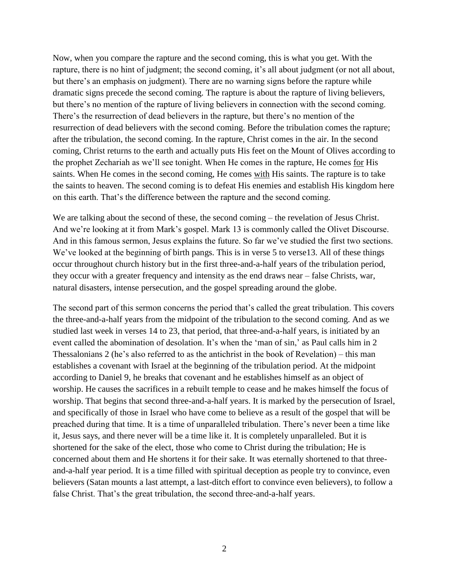Now, when you compare the rapture and the second coming, this is what you get. With the rapture, there is no hint of judgment; the second coming, it's all about judgment (or not all about, but there's an emphasis on judgment). There are no warning signs before the rapture while dramatic signs precede the second coming. The rapture is about the rapture of living believers, but there's no mention of the rapture of living believers in connection with the second coming. There's the resurrection of dead believers in the rapture, but there's no mention of the resurrection of dead believers with the second coming. Before the tribulation comes the rapture; after the tribulation, the second coming. In the rapture, Christ comes in the air. In the second coming, Christ returns to the earth and actually puts His feet on the Mount of Olives according to the prophet Zechariah as we'll see tonight. When He comes in the rapture, He comes for His saints. When He comes in the second coming, He comes with His saints. The rapture is to take the saints to heaven. The second coming is to defeat His enemies and establish His kingdom here on this earth. That's the difference between the rapture and the second coming.

We are talking about the second of these, the second coming – the revelation of Jesus Christ. And we're looking at it from Mark's gospel. Mark 13 is commonly called the Olivet Discourse. And in this famous sermon, Jesus explains the future. So far we've studied the first two sections. We've looked at the beginning of birth pangs. This is in verse 5 to verse 13. All of these things occur throughout church history but in the first three-and-a-half years of the tribulation period, they occur with a greater frequency and intensity as the end draws near – false Christs, war, natural disasters, intense persecution, and the gospel spreading around the globe.

The second part of this sermon concerns the period that's called the great tribulation. This covers the three-and-a-half years from the midpoint of the tribulation to the second coming. And as we studied last week in verses 14 to 23, that period, that three-and-a-half years, is initiated by an event called the abomination of desolation. It's when the 'man of sin,' as Paul calls him in 2 Thessalonians 2 (he's also referred to as the antichrist in the book of Revelation) – this man establishes a covenant with Israel at the beginning of the tribulation period. At the midpoint according to Daniel 9, he breaks that covenant and he establishes himself as an object of worship. He causes the sacrifices in a rebuilt temple to cease and he makes himself the focus of worship. That begins that second three-and-a-half years. It is marked by the persecution of Israel, and specifically of those in Israel who have come to believe as a result of the gospel that will be preached during that time. It is a time of unparalleled tribulation. There's never been a time like it, Jesus says, and there never will be a time like it. It is completely unparalleled. But it is shortened for the sake of the elect, those who come to Christ during the tribulation; He is concerned about them and He shortens it for their sake. It was eternally shortened to that threeand-a-half year period. It is a time filled with spiritual deception as people try to convince, even believers (Satan mounts a last attempt, a last-ditch effort to convince even believers), to follow a false Christ. That's the great tribulation, the second three-and-a-half years.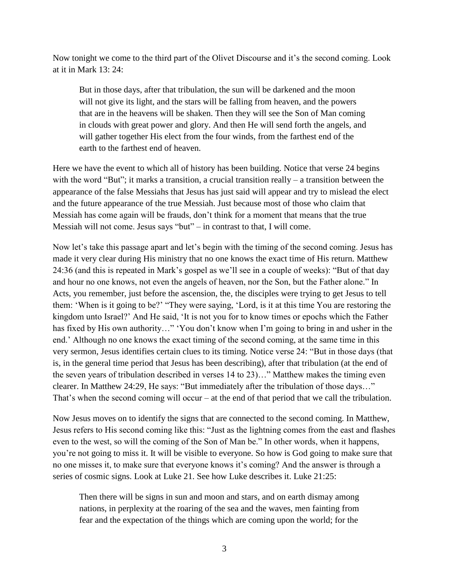Now tonight we come to the third part of the Olivet Discourse and it's the second coming. Look at it in Mark 13: 24:

But in those days, after that tribulation, the sun will be darkened and the moon will not give its light, and the stars will be falling from heaven, and the powers that are in the heavens will be shaken. Then they will see the Son of Man coming in clouds with great power and glory. And then He will send forth the angels, and will gather together His elect from the four winds, from the farthest end of the earth to the farthest end of heaven.

Here we have the event to which all of history has been building. Notice that verse 24 begins with the word "But"; it marks a transition, a crucial transition really – a transition between the appearance of the false Messiahs that Jesus has just said will appear and try to mislead the elect and the future appearance of the true Messiah. Just because most of those who claim that Messiah has come again will be frauds, don't think for a moment that means that the true Messiah will not come. Jesus says "but" – in contrast to that, I will come.

Now let's take this passage apart and let's begin with the timing of the second coming. Jesus has made it very clear during His ministry that no one knows the exact time of His return. Matthew 24:36 (and this is repeated in Mark's gospel as we'll see in a couple of weeks): "But of that day and hour no one knows, not even the angels of heaven, nor the Son, but the Father alone." In Acts, you remember, just before the ascension, the, the disciples were trying to get Jesus to tell them: 'When is it going to be?' "They were saying, 'Lord, is it at this time You are restoring the kingdom unto Israel?' And He said, 'It is not you for to know times or epochs which the Father has fixed by His own authority..." 'You don't know when I'm going to bring in and usher in the end.' Although no one knows the exact timing of the second coming, at the same time in this very sermon, Jesus identifies certain clues to its timing. Notice verse 24: "But in those days (that is, in the general time period that Jesus has been describing), after that tribulation (at the end of the seven years of tribulation described in verses 14 to 23)…" Matthew makes the timing even clearer. In Matthew 24:29, He says: "But immediately after the tribulation of those days…" That's when the second coming will occur – at the end of that period that we call the tribulation.

Now Jesus moves on to identify the signs that are connected to the second coming. In Matthew, Jesus refers to His second coming like this: "Just as the lightning comes from the east and flashes even to the west, so will the coming of the Son of Man be." In other words, when it happens, you're not going to miss it. It will be visible to everyone. So how is God going to make sure that no one misses it, to make sure that everyone knows it's coming? And the answer is through a series of cosmic signs. Look at Luke 21. See how Luke describes it. Luke 21:25:

Then there will be signs in sun and moon and stars, and on earth dismay among nations, in perplexity at the roaring of the sea and the waves, men fainting from fear and the expectation of the things which are coming upon the world; for the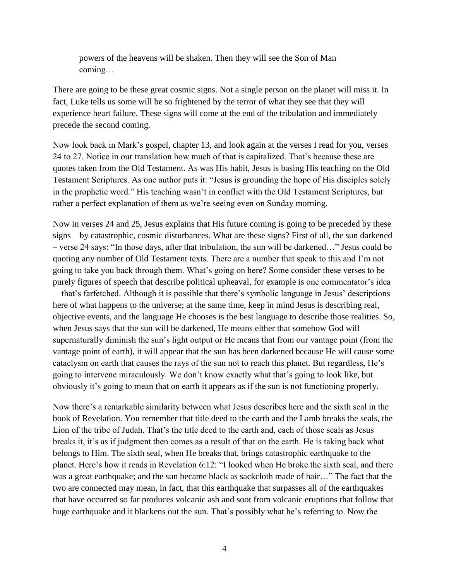powers of the heavens will be shaken. Then they will see the Son of Man coming…

There are going to be these great cosmic signs. Not a single person on the planet will miss it. In fact, Luke tells us some will be so frightened by the terror of what they see that they will experience heart failure. These signs will come at the end of the tribulation and immediately precede the second coming.

Now look back in Mark's gospel, chapter 13, and look again at the verses I read for you, verses 24 to 27. Notice in our translation how much of that is capitalized. That's because these are quotes taken from the Old Testament. As was His habit, Jesus is basing His teaching on the Old Testament Scriptures. As one author puts it: "Jesus is grounding the hope of His disciples solely in the prophetic word." His teaching wasn't in conflict with the Old Testament Scriptures, but rather a perfect explanation of them as we're seeing even on Sunday morning.

Now in verses 24 and 25, Jesus explains that His future coming is going to be preceded by these signs – by catastrophic, cosmic disturbances. What are these signs? First of all, the sun darkened – verse 24 says: "In those days, after that tribulation, the sun will be darkened…" Jesus could be quoting any number of Old Testament texts. There are a number that speak to this and I'm not going to take you back through them. What's going on here? Some consider these verses to be purely figures of speech that describe political upheaval, for example is one commentator's idea – that's farfetched. Although it is possible that there's symbolic language in Jesus' descriptions here of what happens to the universe; at the same time, keep in mind Jesus is describing real, objective events, and the language He chooses is the best language to describe those realities. So, when Jesus says that the sun will be darkened, He means either that somehow God will supernaturally diminish the sun's light output or He means that from our vantage point (from the vantage point of earth), it will appear that the sun has been darkened because He will cause some cataclysm on earth that causes the rays of the sun not to reach this planet. But regardless, He's going to intervene miraculously. We don't know exactly what that's going to look like, but obviously it's going to mean that on earth it appears as if the sun is not functioning properly.

Now there's a remarkable similarity between what Jesus describes here and the sixth seal in the book of Revelation. You remember that title deed to the earth and the Lamb breaks the seals, the Lion of the tribe of Judah. That's the title deed to the earth and, each of those seals as Jesus breaks it, it's as if judgment then comes as a result of that on the earth. He is taking back what belongs to Him. The sixth seal, when He breaks that, brings catastrophic earthquake to the planet. Here's how it reads in Revelation 6:12: "I looked when He broke the sixth seal, and there was a great earthquake; and the sun became black as sackcloth made of hair…" The fact that the two are connected may mean, in fact, that this earthquake that surpasses all of the earthquakes that have occurred so far produces volcanic ash and soot from volcanic eruptions that follow that huge earthquake and it blackens out the sun. That's possibly what he's referring to. Now the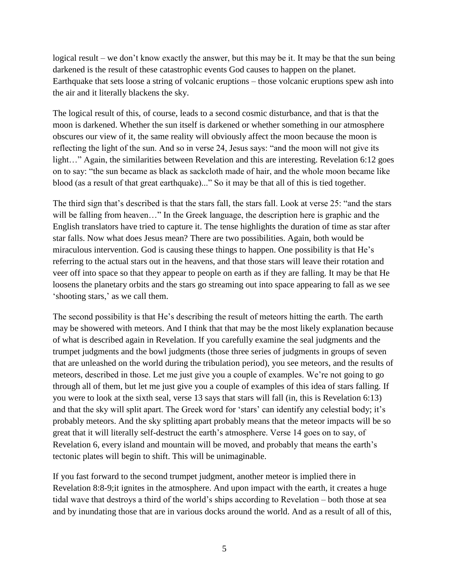logical result – we don't know exactly the answer, but this may be it. It may be that the sun being darkened is the result of these catastrophic events God causes to happen on the planet. Earthquake that sets loose a string of volcanic eruptions – those volcanic eruptions spew ash into the air and it literally blackens the sky.

The logical result of this, of course, leads to a second cosmic disturbance, and that is that the moon is darkened. Whether the sun itself is darkened or whether something in our atmosphere obscures our view of it, the same reality will obviously affect the moon because the moon is reflecting the light of the sun. And so in verse 24, Jesus says: "and the moon will not give its light…" Again, the similarities between Revelation and this are interesting. Revelation 6:12 goes on to say: "the sun became as black as sackcloth made of hair, and the whole moon became like blood (as a result of that great earthquake)..." So it may be that all of this is tied together.

The third sign that's described is that the stars fall, the stars fall. Look at verse 25: "and the stars will be falling from heaven..." In the Greek language, the description here is graphic and the English translators have tried to capture it. The tense highlights the duration of time as star after star falls. Now what does Jesus mean? There are two possibilities. Again, both would be miraculous intervention. God is causing these things to happen. One possibility is that He's referring to the actual stars out in the heavens, and that those stars will leave their rotation and veer off into space so that they appear to people on earth as if they are falling. It may be that He loosens the planetary orbits and the stars go streaming out into space appearing to fall as we see 'shooting stars,' as we call them.

The second possibility is that He's describing the result of meteors hitting the earth. The earth may be showered with meteors. And I think that that may be the most likely explanation because of what is described again in Revelation. If you carefully examine the seal judgments and the trumpet judgments and the bowl judgments (those three series of judgments in groups of seven that are unleashed on the world during the tribulation period), you see meteors, and the results of meteors, described in those. Let me just give you a couple of examples. We're not going to go through all of them, but let me just give you a couple of examples of this idea of stars falling. If you were to look at the sixth seal, verse 13 says that stars will fall (in, this is Revelation 6:13) and that the sky will split apart. The Greek word for 'stars' can identify any celestial body; it's probably meteors. And the sky splitting apart probably means that the meteor impacts will be so great that it will literally self-destruct the earth's atmosphere. Verse 14 goes on to say, of Revelation 6, every island and mountain will be moved, and probably that means the earth's tectonic plates will begin to shift. This will be unimaginable.

If you fast forward to the second trumpet judgment, another meteor is implied there in Revelation 8:8-9;it ignites in the atmosphere. And upon impact with the earth, it creates a huge tidal wave that destroys a third of the world's ships according to Revelation – both those at sea and by inundating those that are in various docks around the world. And as a result of all of this,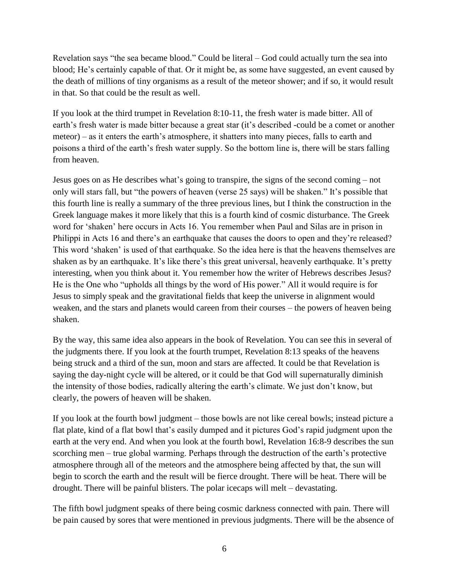Revelation says "the sea became blood." Could be literal – God could actually turn the sea into blood; He's certainly capable of that. Or it might be, as some have suggested, an event caused by the death of millions of tiny organisms as a result of the meteor shower; and if so, it would result in that. So that could be the result as well.

If you look at the third trumpet in Revelation 8:10-11, the fresh water is made bitter. All of earth's fresh water is made bitter because a great star (it's described -could be a comet or another meteor) – as it enters the earth's atmosphere, it shatters into many pieces, falls to earth and poisons a third of the earth's fresh water supply. So the bottom line is, there will be stars falling from heaven.

Jesus goes on as He describes what's going to transpire, the signs of the second coming – not only will stars fall, but "the powers of heaven (verse 25 says) will be shaken." It's possible that this fourth line is really a summary of the three previous lines, but I think the construction in the Greek language makes it more likely that this is a fourth kind of cosmic disturbance. The Greek word for 'shaken' here occurs in Acts 16. You remember when Paul and Silas are in prison in Philippi in Acts 16 and there's an earthquake that causes the doors to open and they're released? This word 'shaken' is used of that earthquake. So the idea here is that the heavens themselves are shaken as by an earthquake. It's like there's this great universal, heavenly earthquake. It's pretty interesting, when you think about it. You remember how the writer of Hebrews describes Jesus? He is the One who "upholds all things by the word of His power." All it would require is for Jesus to simply speak and the gravitational fields that keep the universe in alignment would weaken, and the stars and planets would careen from their courses – the powers of heaven being shaken.

By the way, this same idea also appears in the book of Revelation. You can see this in several of the judgments there. If you look at the fourth trumpet, Revelation 8:13 speaks of the heavens being struck and a third of the sun, moon and stars are affected. It could be that Revelation is saying the day-night cycle will be altered, or it could be that God will supernaturally diminish the intensity of those bodies, radically altering the earth's climate. We just don't know, but clearly, the powers of heaven will be shaken.

If you look at the fourth bowl judgment – those bowls are not like cereal bowls; instead picture a flat plate, kind of a flat bowl that's easily dumped and it pictures God's rapid judgment upon the earth at the very end. And when you look at the fourth bowl, Revelation 16:8-9 describes the sun scorching men – true global warming. Perhaps through the destruction of the earth's protective atmosphere through all of the meteors and the atmosphere being affected by that, the sun will begin to scorch the earth and the result will be fierce drought. There will be heat. There will be drought. There will be painful blisters. The polar icecaps will melt – devastating.

The fifth bowl judgment speaks of there being cosmic darkness connected with pain. There will be pain caused by sores that were mentioned in previous judgments. There will be the absence of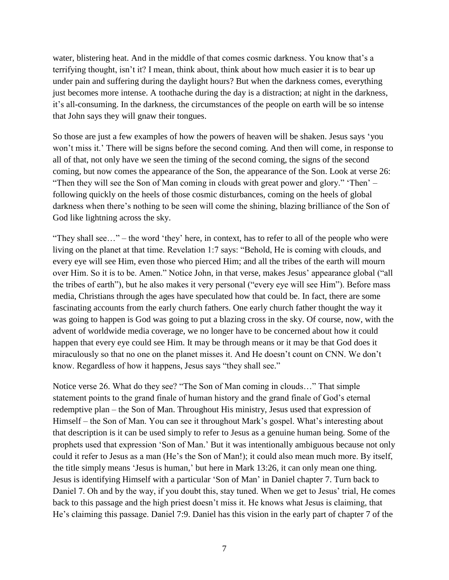water, blistering heat. And in the middle of that comes cosmic darkness. You know that's a terrifying thought, isn't it? I mean, think about, think about how much easier it is to bear up under pain and suffering during the daylight hours? But when the darkness comes, everything just becomes more intense. A toothache during the day is a distraction; at night in the darkness, it's all-consuming. In the darkness, the circumstances of the people on earth will be so intense that John says they will gnaw their tongues.

So those are just a few examples of how the powers of heaven will be shaken. Jesus says 'you won't miss it.' There will be signs before the second coming. And then will come, in response to all of that, not only have we seen the timing of the second coming, the signs of the second coming, but now comes the appearance of the Son, the appearance of the Son. Look at verse 26: "Then they will see the Son of Man coming in clouds with great power and glory." 'Then' – following quickly on the heels of those cosmic disturbances, coming on the heels of global darkness when there's nothing to be seen will come the shining, blazing brilliance of the Son of God like lightning across the sky.

"They shall see…" – the word 'they' here, in context, has to refer to all of the people who were living on the planet at that time. Revelation 1:7 says: "Behold, He is coming with clouds, and every eye will see Him, even those who pierced Him; and all the tribes of the earth will mourn over Him. So it is to be. Amen." Notice John, in that verse, makes Jesus' appearance global ("all the tribes of earth"), but he also makes it very personal ("every eye will see Him"). Before mass media, Christians through the ages have speculated how that could be. In fact, there are some fascinating accounts from the early church fathers. One early church father thought the way it was going to happen is God was going to put a blazing cross in the sky. Of course, now, with the advent of worldwide media coverage, we no longer have to be concerned about how it could happen that every eye could see Him. It may be through means or it may be that God does it miraculously so that no one on the planet misses it. And He doesn't count on CNN. We don't know. Regardless of how it happens, Jesus says "they shall see."

Notice verse 26. What do they see? "The Son of Man coming in clouds…" That simple statement points to the grand finale of human history and the grand finale of God's eternal redemptive plan – the Son of Man. Throughout His ministry, Jesus used that expression of Himself – the Son of Man. You can see it throughout Mark's gospel. What's interesting about that description is it can be used simply to refer to Jesus as a genuine human being. Some of the prophets used that expression 'Son of Man.' But it was intentionally ambiguous because not only could it refer to Jesus as a man (He's the Son of Man!); it could also mean much more. By itself, the title simply means 'Jesus is human,' but here in Mark 13:26, it can only mean one thing. Jesus is identifying Himself with a particular 'Son of Man' in Daniel chapter 7. Turn back to Daniel 7. Oh and by the way, if you doubt this, stay tuned. When we get to Jesus' trial, He comes back to this passage and the high priest doesn't miss it. He knows what Jesus is claiming, that He's claiming this passage. Daniel 7:9. Daniel has this vision in the early part of chapter 7 of the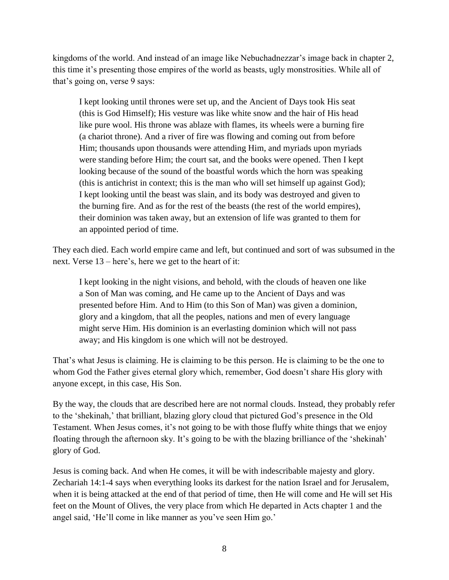kingdoms of the world. And instead of an image like Nebuchadnezzar's image back in chapter 2, this time it's presenting those empires of the world as beasts, ugly monstrosities. While all of that's going on, verse 9 says:

I kept looking until thrones were set up, and the Ancient of Days took His seat (this is God Himself); His vesture was like white snow and the hair of His head like pure wool. His throne was ablaze with flames, its wheels were a burning fire (a chariot throne). And a river of fire was flowing and coming out from before Him; thousands upon thousands were attending Him, and myriads upon myriads were standing before Him; the court sat, and the books were opened. Then I kept looking because of the sound of the boastful words which the horn was speaking (this is antichrist in context; this is the man who will set himself up against God); I kept looking until the beast was slain, and its body was destroyed and given to the burning fire. And as for the rest of the beasts (the rest of the world empires), their dominion was taken away, but an extension of life was granted to them for an appointed period of time.

They each died. Each world empire came and left, but continued and sort of was subsumed in the next. Verse 13 – here's, here we get to the heart of it:

I kept looking in the night visions, and behold, with the clouds of heaven one like a Son of Man was coming, and He came up to the Ancient of Days and was presented before Him. And to Him (to this Son of Man) was given a dominion, glory and a kingdom, that all the peoples, nations and men of every language might serve Him. His dominion is an everlasting dominion which will not pass away; and His kingdom is one which will not be destroyed.

That's what Jesus is claiming. He is claiming to be this person. He is claiming to be the one to whom God the Father gives eternal glory which, remember, God doesn't share His glory with anyone except, in this case, His Son.

By the way, the clouds that are described here are not normal clouds. Instead, they probably refer to the 'shekinah,' that brilliant, blazing glory cloud that pictured God's presence in the Old Testament. When Jesus comes, it's not going to be with those fluffy white things that we enjoy floating through the afternoon sky. It's going to be with the blazing brilliance of the 'shekinah' glory of God.

Jesus is coming back. And when He comes, it will be with indescribable majesty and glory. Zechariah 14:1-4 says when everything looks its darkest for the nation Israel and for Jerusalem, when it is being attacked at the end of that period of time, then He will come and He will set His feet on the Mount of Olives, the very place from which He departed in Acts chapter 1 and the angel said, 'He'll come in like manner as you've seen Him go.'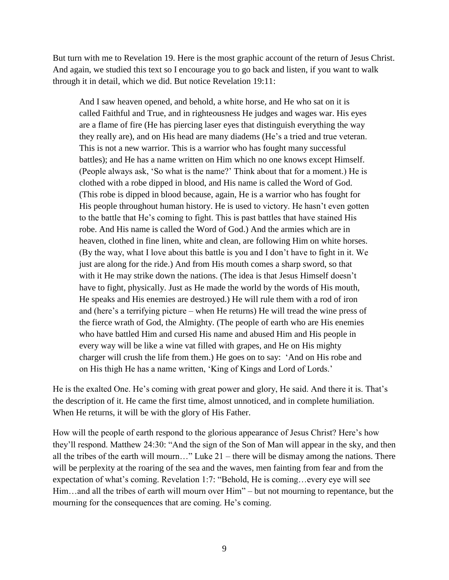But turn with me to Revelation 19. Here is the most graphic account of the return of Jesus Christ. And again, we studied this text so I encourage you to go back and listen, if you want to walk through it in detail, which we did. But notice Revelation 19:11:

And I saw heaven opened, and behold, a white horse, and He who sat on it is called Faithful and True, and in righteousness He judges and wages war. His eyes are a flame of fire (He has piercing laser eyes that distinguish everything the way they really are), and on His head are many diadems (He's a tried and true veteran. This is not a new warrior. This is a warrior who has fought many successful battles); and He has a name written on Him which no one knows except Himself. (People always ask, 'So what is the name?' Think about that for a moment.) He is clothed with a robe dipped in blood, and His name is called the Word of God. (This robe is dipped in blood because, again, He is a warrior who has fought for His people throughout human history. He is used to victory. He hasn't even gotten to the battle that He's coming to fight. This is past battles that have stained His robe. And His name is called the Word of God.) And the armies which are in heaven, clothed in fine linen, white and clean, are following Him on white horses. (By the way, what I love about this battle is you and I don't have to fight in it. We just are along for the ride.) And from His mouth comes a sharp sword, so that with it He may strike down the nations. (The idea is that Jesus Himself doesn't have to fight, physically. Just as He made the world by the words of His mouth, He speaks and His enemies are destroyed.) He will rule them with a rod of iron and (here's a terrifying picture – when He returns) He will tread the wine press of the fierce wrath of God, the Almighty. (The people of earth who are His enemies who have battled Him and cursed His name and abused Him and His people in every way will be like a wine vat filled with grapes, and He on His mighty charger will crush the life from them.) He goes on to say: 'And on His robe and on His thigh He has a name written, 'King of Kings and Lord of Lords.'

He is the exalted One. He's coming with great power and glory, He said. And there it is. That's the description of it. He came the first time, almost unnoticed, and in complete humiliation. When He returns, it will be with the glory of His Father.

How will the people of earth respond to the glorious appearance of Jesus Christ? Here's how they'll respond. Matthew 24:30: "And the sign of the Son of Man will appear in the sky, and then all the tribes of the earth will mourn…" Luke 21 – there will be dismay among the nations. There will be perplexity at the roaring of the sea and the waves, men fainting from fear and from the expectation of what's coming. Revelation 1:7: "Behold, He is coming…every eye will see Him…and all the tribes of earth will mourn over Him" – but not mourning to repentance, but the mourning for the consequences that are coming. He's coming.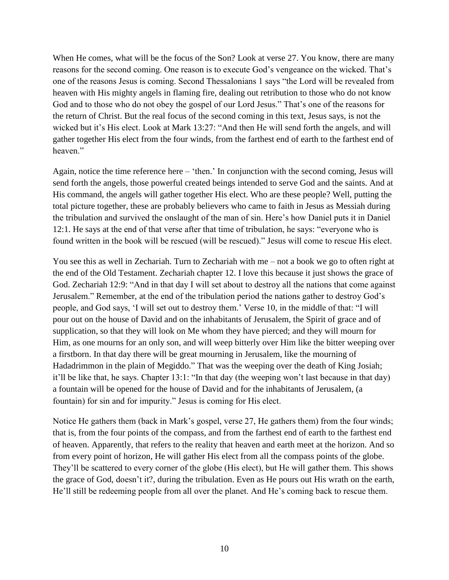When He comes, what will be the focus of the Son? Look at verse 27. You know, there are many reasons for the second coming. One reason is to execute God's vengeance on the wicked. That's one of the reasons Jesus is coming. Second Thessalonians 1 says "the Lord will be revealed from heaven with His mighty angels in flaming fire, dealing out retribution to those who do not know God and to those who do not obey the gospel of our Lord Jesus." That's one of the reasons for the return of Christ. But the real focus of the second coming in this text, Jesus says, is not the wicked but it's His elect. Look at Mark 13:27: "And then He will send forth the angels, and will gather together His elect from the four winds, from the farthest end of earth to the farthest end of heaven"

Again, notice the time reference here – 'then.' In conjunction with the second coming, Jesus will send forth the angels, those powerful created beings intended to serve God and the saints. And at His command, the angels will gather together His elect. Who are these people? Well, putting the total picture together, these are probably believers who came to faith in Jesus as Messiah during the tribulation and survived the onslaught of the man of sin. Here's how Daniel puts it in Daniel 12:1. He says at the end of that verse after that time of tribulation, he says: "everyone who is found written in the book will be rescued (will be rescued)." Jesus will come to rescue His elect.

You see this as well in Zechariah. Turn to Zechariah with me – not a book we go to often right at the end of the Old Testament. Zechariah chapter 12. I love this because it just shows the grace of God. Zechariah 12:9: "And in that day I will set about to destroy all the nations that come against Jerusalem." Remember, at the end of the tribulation period the nations gather to destroy God's people, and God says, 'I will set out to destroy them.' Verse 10, in the middle of that: "I will pour out on the house of David and on the inhabitants of Jerusalem, the Spirit of grace and of supplication, so that they will look on Me whom they have pierced; and they will mourn for Him, as one mourns for an only son, and will weep bitterly over Him like the bitter weeping over a firstborn. In that day there will be great mourning in Jerusalem, like the mourning of Hadadrimmon in the plain of Megiddo." That was the weeping over the death of King Josiah; it'll be like that, he says. Chapter 13:1: "In that day (the weeping won't last because in that day) a fountain will be opened for the house of David and for the inhabitants of Jerusalem, (a fountain) for sin and for impurity." Jesus is coming for His elect.

Notice He gathers them (back in Mark's gospel, verse 27, He gathers them) from the four winds; that is, from the four points of the compass, and from the farthest end of earth to the farthest end of heaven. Apparently, that refers to the reality that heaven and earth meet at the horizon. And so from every point of horizon, He will gather His elect from all the compass points of the globe. They'll be scattered to every corner of the globe (His elect), but He will gather them. This shows the grace of God, doesn't it?, during the tribulation. Even as He pours out His wrath on the earth, He'll still be redeeming people from all over the planet. And He's coming back to rescue them.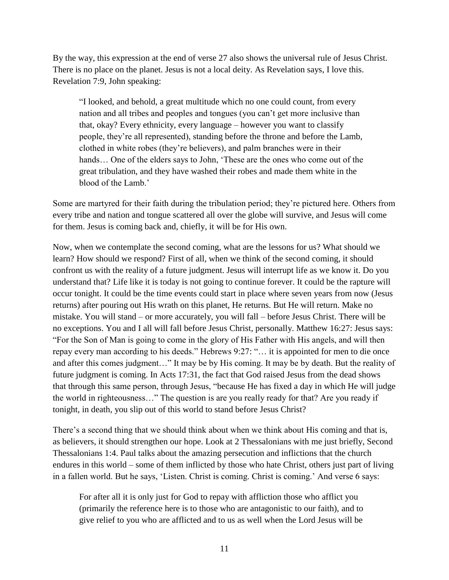By the way, this expression at the end of verse 27 also shows the universal rule of Jesus Christ. There is no place on the planet. Jesus is not a local deity. As Revelation says, I love this. Revelation 7:9, John speaking:

"I looked, and behold, a great multitude which no one could count, from every nation and all tribes and peoples and tongues (you can't get more inclusive than that, okay? Every ethnicity, every language – however you want to classify people, they're all represented), standing before the throne and before the Lamb, clothed in white robes (they're believers), and palm branches were in their hands… One of the elders says to John, 'These are the ones who come out of the great tribulation, and they have washed their robes and made them white in the blood of the Lamb.'

Some are martyred for their faith during the tribulation period; they're pictured here. Others from every tribe and nation and tongue scattered all over the globe will survive, and Jesus will come for them. Jesus is coming back and, chiefly, it will be for His own.

Now, when we contemplate the second coming, what are the lessons for us? What should we learn? How should we respond? First of all, when we think of the second coming, it should confront us with the reality of a future judgment. Jesus will interrupt life as we know it. Do you understand that? Life like it is today is not going to continue forever. It could be the rapture will occur tonight. It could be the time events could start in place where seven years from now (Jesus returns) after pouring out His wrath on this planet, He returns. But He will return. Make no mistake. You will stand – or more accurately, you will fall – before Jesus Christ. There will be no exceptions. You and I all will fall before Jesus Christ, personally. Matthew 16:27: Jesus says: "For the Son of Man is going to come in the glory of His Father with His angels, and will then repay every man according to his deeds." Hebrews 9:27: "… it is appointed for men to die once and after this comes judgment…" It may be by His coming. It may be by death. But the reality of future judgment is coming. In Acts 17:31, the fact that God raised Jesus from the dead shows that through this same person, through Jesus, "because He has fixed a day in which He will judge the world in righteousness…" The question is are you really ready for that? Are you ready if tonight, in death, you slip out of this world to stand before Jesus Christ?

There's a second thing that we should think about when we think about His coming and that is, as believers, it should strengthen our hope. Look at 2 Thessalonians with me just briefly, Second Thessalonians 1:4. Paul talks about the amazing persecution and inflictions that the church endures in this world – some of them inflicted by those who hate Christ, others just part of living in a fallen world. But he says, 'Listen. Christ is coming. Christ is coming.' And verse 6 says:

For after all it is only just for God to repay with affliction those who afflict you (primarily the reference here is to those who are antagonistic to our faith), and to give relief to you who are afflicted and to us as well when the Lord Jesus will be